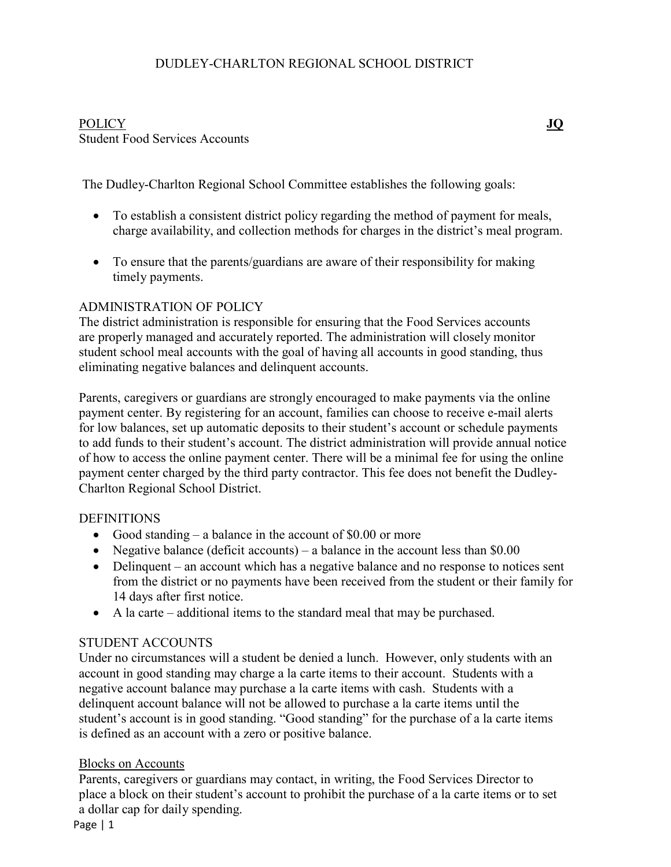# DUDLEY-CHARLTON REGIONAL SCHOOL DISTRICT

# POLICY **JQ** Student Food Services Accounts

The Dudley-Charlton Regional School Committee establishes the following goals:

- To establish a consistent district policy regarding the method of payment for meals, charge availability, and collection methods for charges in the district's meal program.
- To ensure that the parents/guardians are aware of their responsibility for making timely payments.

### ADMINISTRATION OF POLICY

The district administration is responsible for ensuring that the Food Services accounts are properly managed and accurately reported. The administration will closely monitor student school meal accounts with the goal of having all accounts in good standing, thus eliminating negative balances and delinquent accounts.

Parents, caregivers or guardians are strongly encouraged to make payments via the online payment center. By registering for an account, families can choose to receive e-mail alerts for low balances, set up automatic deposits to their student's account or schedule payments to add funds to their student's account. The district administration will provide annual notice of how to access the online payment center. There will be a minimal fee for using the online payment center charged by the third party contractor. This fee does not benefit the Dudley-Charlton Regional School District.

### DEFINITIONS

- Good standing a balance in the account of \$0.00 or more
- Negative balance (deficit accounts) a balance in the account less than  $$0.00$
- Delinquent an account which has a negative balance and no response to notices sent from the district or no payments have been received from the student or their family for 14 days after first notice.
- A la carte additional items to the standard meal that may be purchased.

### STUDENT ACCOUNTS

Under no circumstances will a student be denied a lunch. However, only students with an account in good standing may charge a la carte items to their account. Students with a negative account balance may purchase a la carte items with cash. Students with a delinquent account balance will not be allowed to purchase a la carte items until the student's account is in good standing. "Good standing" for the purchase of a la carte items is defined as an account with a zero or positive balance.

#### Blocks on Accounts

Parents, caregivers or guardians may contact, in writing, the Food Services Director to place a block on their student's account to prohibit the purchase of a la carte items or to set a dollar cap for daily spending.